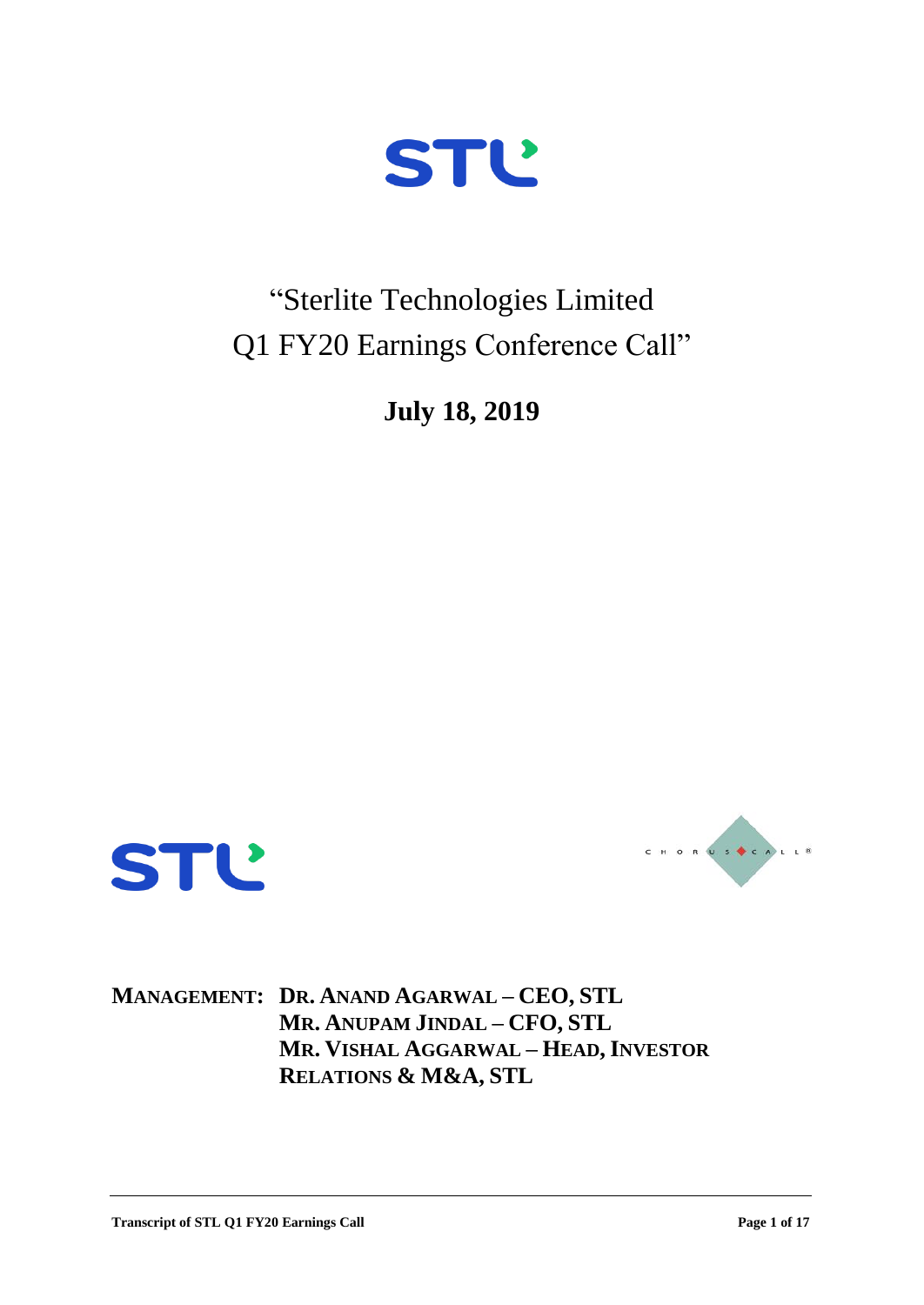

"Sterlite Technologies Limited Q1 FY20 Earnings Conference Call"

**July 18, 2019**





**MANAGEMENT: DR. ANAND AGARWAL – CEO, STL MR. ANUPAM JINDAL – CFO, STL MR. VISHAL AGGARWAL – HEAD, INVESTOR RELATIONS & M&A, STL**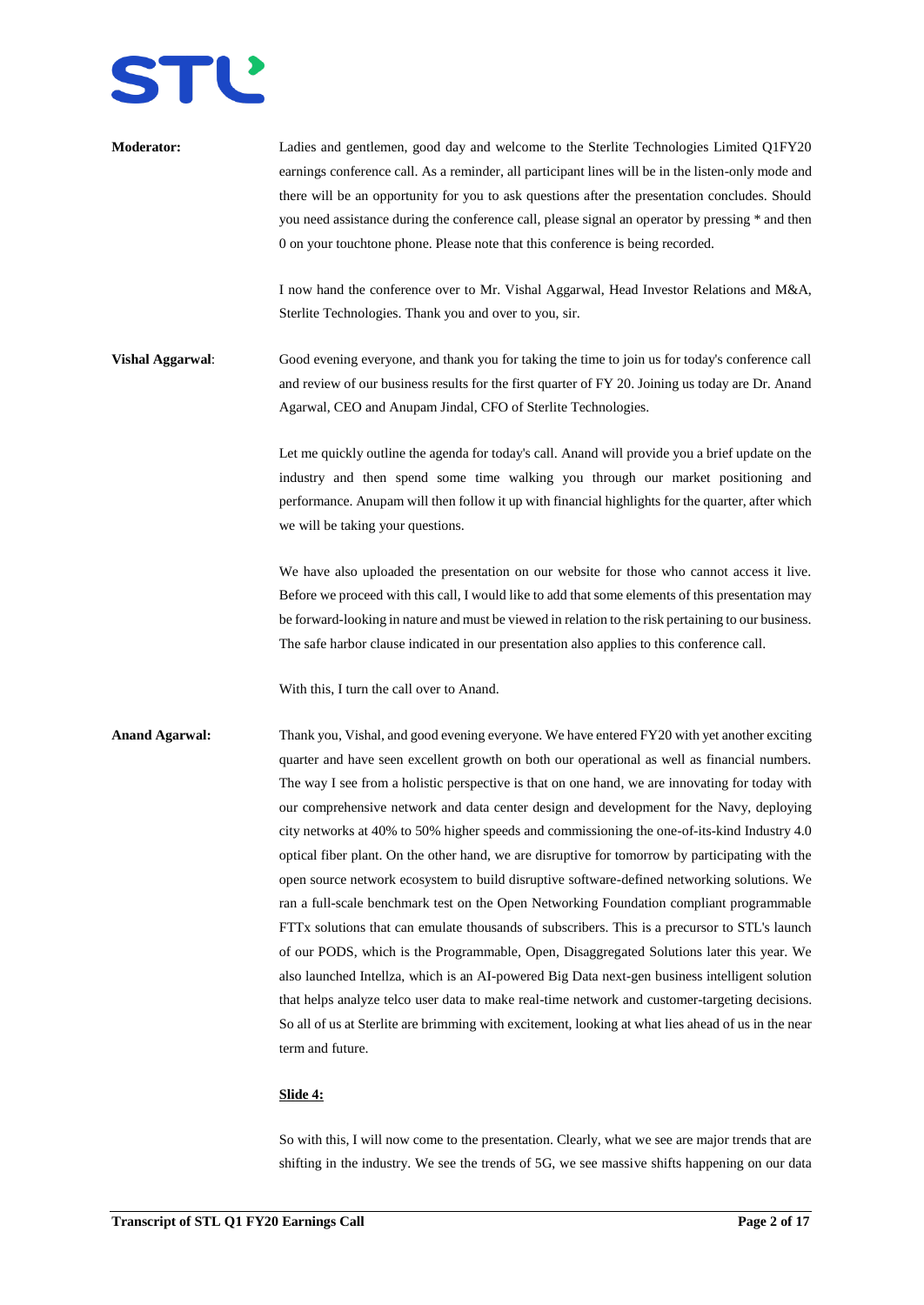

| <b>Moderator:</b>       | Ladies and gentlemen, good day and welcome to the Sterlite Technologies Limited Q1FY20<br>earnings conference call. As a reminder, all participant lines will be in the listen-only mode and<br>there will be an opportunity for you to ask questions after the presentation concludes. Should<br>you need assistance during the conference call, please signal an operator by pressing * and then<br>0 on your touchtone phone. Please note that this conference is being recorded.<br>I now hand the conference over to Mr. Vishal Aggarwal, Head Investor Relations and M&A,                                                                                                                                                                                                                                                                                                                                                                                                                                                                                                                                                                                                                                                                                                                     |
|-------------------------|-----------------------------------------------------------------------------------------------------------------------------------------------------------------------------------------------------------------------------------------------------------------------------------------------------------------------------------------------------------------------------------------------------------------------------------------------------------------------------------------------------------------------------------------------------------------------------------------------------------------------------------------------------------------------------------------------------------------------------------------------------------------------------------------------------------------------------------------------------------------------------------------------------------------------------------------------------------------------------------------------------------------------------------------------------------------------------------------------------------------------------------------------------------------------------------------------------------------------------------------------------------------------------------------------------|
|                         | Sterlite Technologies. Thank you and over to you, sir.                                                                                                                                                                                                                                                                                                                                                                                                                                                                                                                                                                                                                                                                                                                                                                                                                                                                                                                                                                                                                                                                                                                                                                                                                                              |
| <b>Vishal Aggarwal:</b> | Good evening everyone, and thank you for taking the time to join us for today's conference call<br>and review of our business results for the first quarter of FY 20. Joining us today are Dr. Anand<br>Agarwal, CEO and Anupam Jindal, CFO of Sterlite Technologies.                                                                                                                                                                                                                                                                                                                                                                                                                                                                                                                                                                                                                                                                                                                                                                                                                                                                                                                                                                                                                               |
|                         | Let me quickly outline the agenda for today's call. Anand will provide you a brief update on the<br>industry and then spend some time walking you through our market positioning and<br>performance. Anupam will then follow it up with financial highlights for the quarter, after which<br>we will be taking your questions.                                                                                                                                                                                                                                                                                                                                                                                                                                                                                                                                                                                                                                                                                                                                                                                                                                                                                                                                                                      |
|                         | We have also uploaded the presentation on our website for those who cannot access it live.<br>Before we proceed with this call, I would like to add that some elements of this presentation may<br>be forward-looking in nature and must be viewed in relation to the risk pertaining to our business.<br>The safe harbor clause indicated in our presentation also applies to this conference call.                                                                                                                                                                                                                                                                                                                                                                                                                                                                                                                                                                                                                                                                                                                                                                                                                                                                                                |
|                         | With this, I turn the call over to Anand.                                                                                                                                                                                                                                                                                                                                                                                                                                                                                                                                                                                                                                                                                                                                                                                                                                                                                                                                                                                                                                                                                                                                                                                                                                                           |
| <b>Anand Agarwal:</b>   | Thank you, Vishal, and good evening everyone. We have entered FY20 with yet another exciting<br>quarter and have seen excellent growth on both our operational as well as financial numbers.<br>The way I see from a holistic perspective is that on one hand, we are innovating for today with<br>our comprehensive network and data center design and development for the Navy, deploying<br>city networks at 40% to 50% higher speeds and commissioning the one-of-its-kind Industry 4.0<br>optical fiber plant. On the other hand, we are disruptive for tomorrow by participating with the<br>open source network ecosystem to build disruptive software-defined networking solutions. We<br>ran a full-scale benchmark test on the Open Networking Foundation compliant programmable<br>FTTx solutions that can emulate thousands of subscribers. This is a precursor to STL's launch<br>of our PODS, which is the Programmable, Open, Disaggregated Solutions later this year. We<br>also launched Intellza, which is an AI-powered Big Data next-gen business intelligent solution<br>that helps analyze telco user data to make real-time network and customer-targeting decisions.<br>So all of us at Sterlite are brimming with excitement, looking at what lies ahead of us in the near |
|                         | term and future.                                                                                                                                                                                                                                                                                                                                                                                                                                                                                                                                                                                                                                                                                                                                                                                                                                                                                                                                                                                                                                                                                                                                                                                                                                                                                    |

# **Slide 4:**

So with this, I will now come to the presentation. Clearly, what we see are major trends that are shifting in the industry. We see the trends of 5G, we see massive shifts happening on our data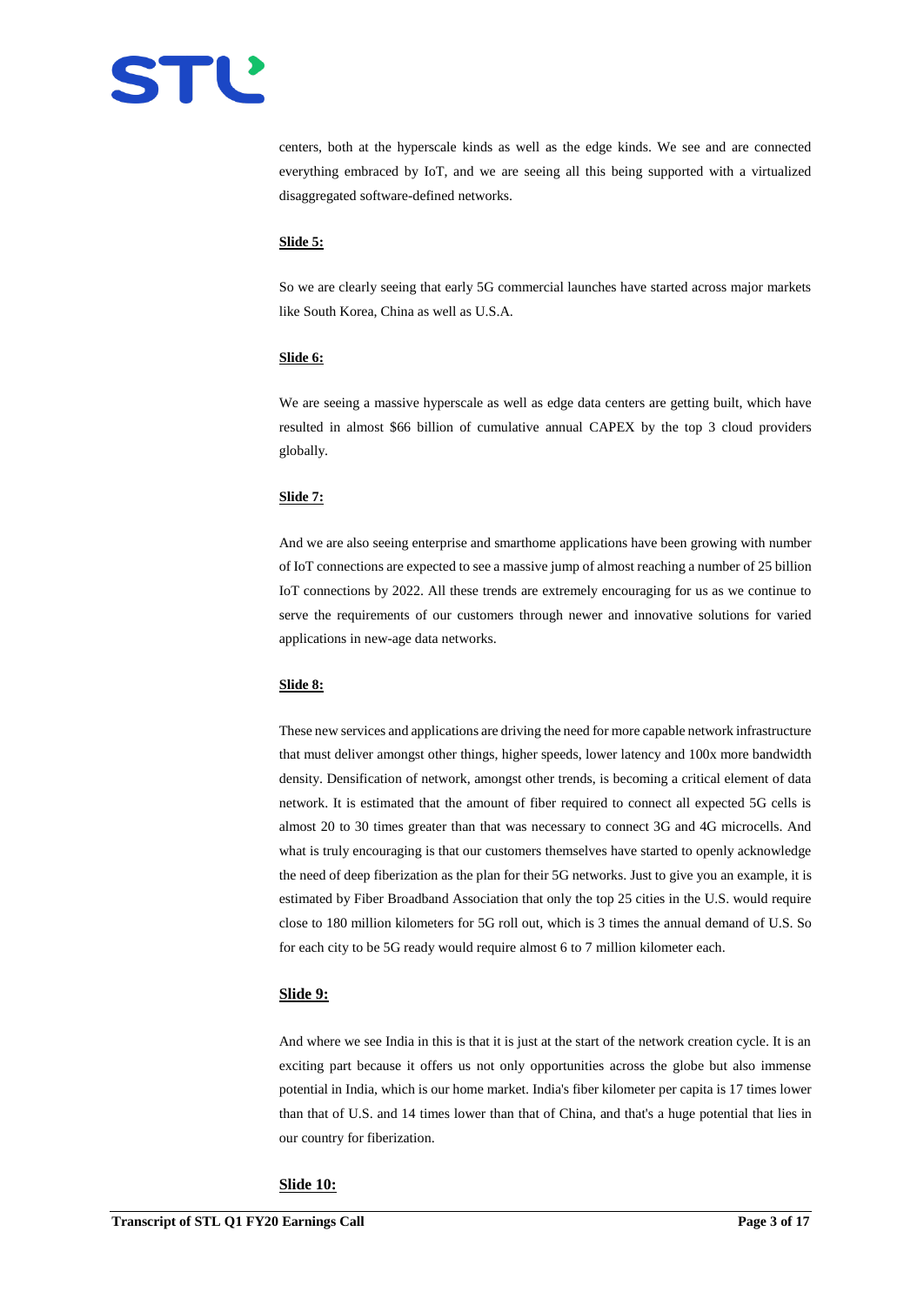

centers, both at the hyperscale kinds as well as the edge kinds. We see and are connected everything embraced by IoT, and we are seeing all this being supported with a virtualized disaggregated software-defined networks.

#### **Slide 5:**

So we are clearly seeing that early 5G commercial launches have started across major markets like South Korea, China as well as U.S.A.

## **Slide 6:**

We are seeing a massive hyperscale as well as edge data centers are getting built, which have resulted in almost \$66 billion of cumulative annual CAPEX by the top 3 cloud providers globally.

## **Slide 7:**

And we are also seeing enterprise and smarthome applications have been growing with number of IoT connections are expected to see a massive jump of almost reaching a number of 25 billion IoT connections by 2022. All these trends are extremely encouraging for us as we continue to serve the requirements of our customers through newer and innovative solutions for varied applications in new-age data networks.

#### **Slide 8:**

These new services and applications are driving the need for more capable network infrastructure that must deliver amongst other things, higher speeds, lower latency and 100x more bandwidth density. Densification of network, amongst other trends, is becoming a critical element of data network. It is estimated that the amount of fiber required to connect all expected 5G cells is almost 20 to 30 times greater than that was necessary to connect 3G and 4G microcells. And what is truly encouraging is that our customers themselves have started to openly acknowledge the need of deep fiberization as the plan for their 5G networks. Just to give you an example, it is estimated by Fiber Broadband Association that only the top 25 cities in the U.S. would require close to 180 million kilometers for 5G roll out, which is 3 times the annual demand of U.S. So for each city to be 5G ready would require almost 6 to 7 million kilometer each.

#### **Slide 9:**

And where we see India in this is that it is just at the start of the network creation cycle. It is an exciting part because it offers us not only opportunities across the globe but also immense potential in India, which is our home market. India's fiber kilometer per capita is 17 times lower than that of U.S. and 14 times lower than that of China, and that's a huge potential that lies in our country for fiberization.

#### **Slide 10:**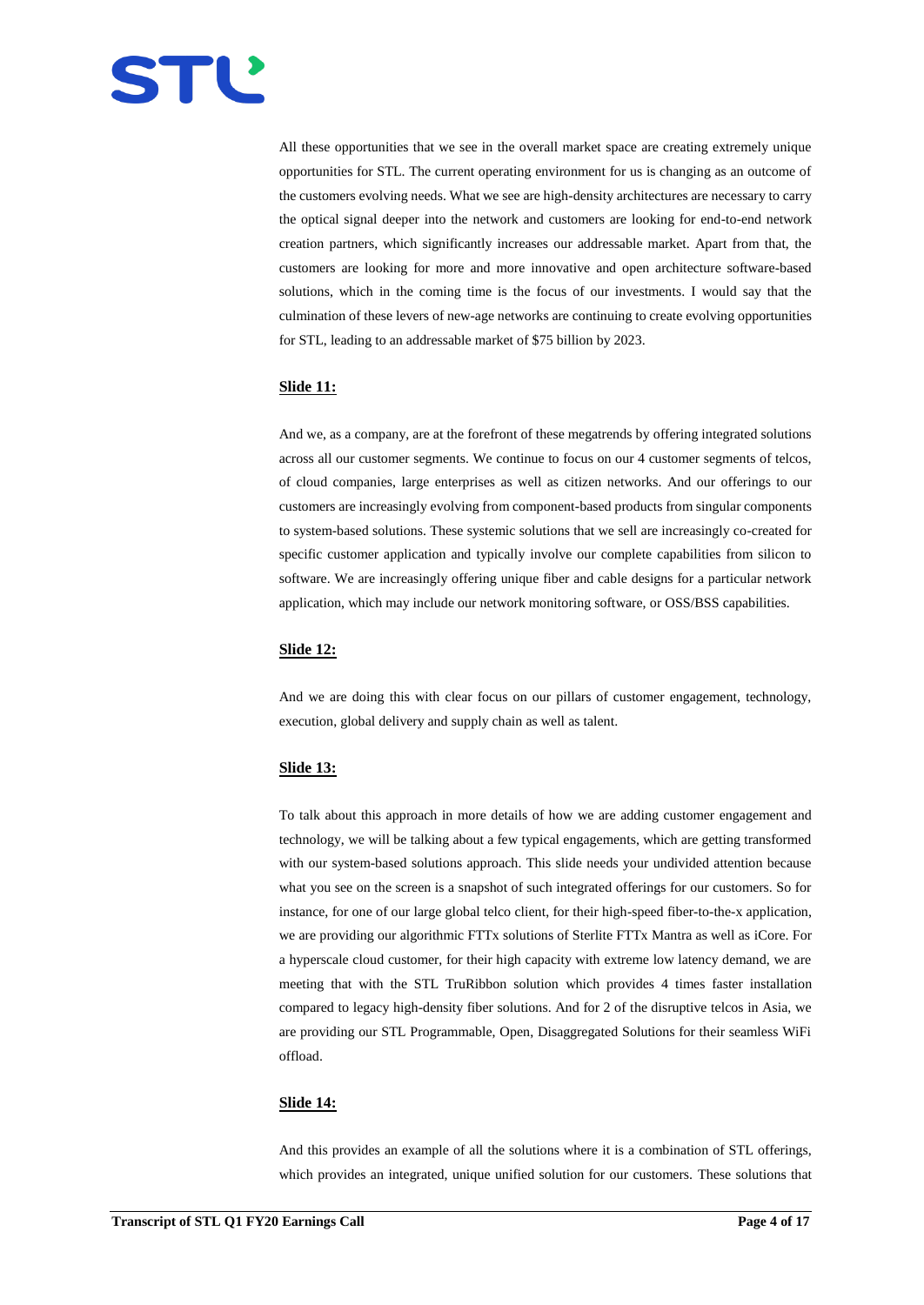

All these opportunities that we see in the overall market space are creating extremely unique opportunities for STL. The current operating environment for us is changing as an outcome of the customers evolving needs. What we see are high-density architectures are necessary to carry the optical signal deeper into the network and customers are looking for end-to-end network creation partners, which significantly increases our addressable market. Apart from that, the customers are looking for more and more innovative and open architecture software-based solutions, which in the coming time is the focus of our investments. I would say that the culmination of these levers of new-age networks are continuing to create evolving opportunities for STL, leading to an addressable market of \$75 billion by 2023.

## **Slide 11:**

And we, as a company, are at the forefront of these megatrends by offering integrated solutions across all our customer segments. We continue to focus on our 4 customer segments of telcos, of cloud companies, large enterprises as well as citizen networks. And our offerings to our customers are increasingly evolving from component-based products from singular components to system-based solutions. These systemic solutions that we sell are increasingly co-created for specific customer application and typically involve our complete capabilities from silicon to software. We are increasingly offering unique fiber and cable designs for a particular network application, which may include our network monitoring software, or OSS/BSS capabilities.

# **Slide 12:**

And we are doing this with clear focus on our pillars of customer engagement, technology, execution, global delivery and supply chain as well as talent.

## **Slide 13:**

To talk about this approach in more details of how we are adding customer engagement and technology, we will be talking about a few typical engagements, which are getting transformed with our system-based solutions approach. This slide needs your undivided attention because what you see on the screen is a snapshot of such integrated offerings for our customers. So for instance, for one of our large global telco client, for their high-speed fiber-to-the-x application, we are providing our algorithmic FTTx solutions of Sterlite FTTx Mantra as well as iCore. For a hyperscale cloud customer, for their high capacity with extreme low latency demand, we are meeting that with the STL TruRibbon solution which provides 4 times faster installation compared to legacy high-density fiber solutions. And for 2 of the disruptive telcos in Asia, we are providing our STL Programmable, Open, Disaggregated Solutions for their seamless WiFi offload.

## **Slide 14:**

And this provides an example of all the solutions where it is a combination of STL offerings, which provides an integrated, unique unified solution for our customers. These solutions that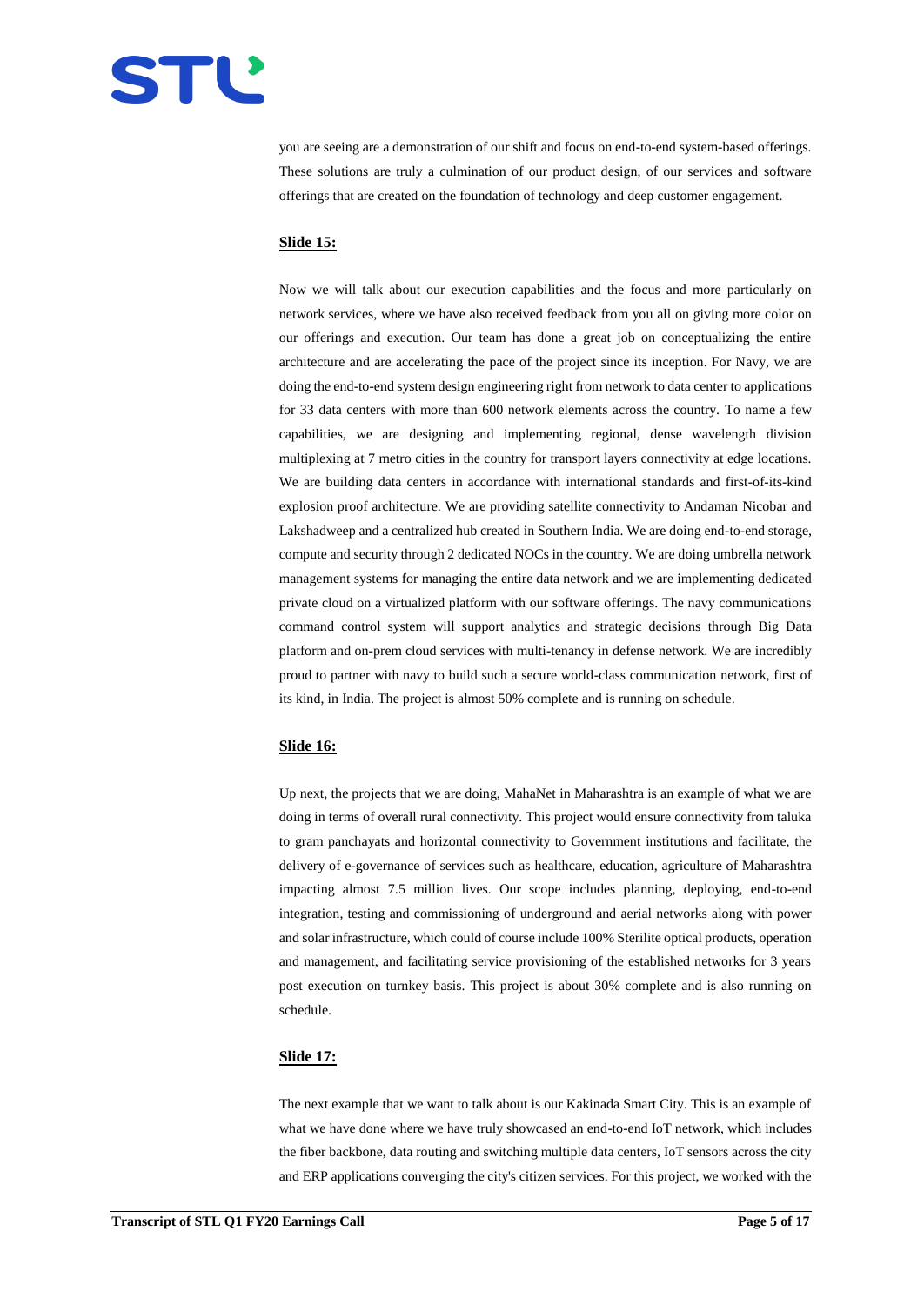

you are seeing are a demonstration of our shift and focus on end-to-end system-based offerings. These solutions are truly a culmination of our product design, of our services and software offerings that are created on the foundation of technology and deep customer engagement.

# **Slide 15:**

Now we will talk about our execution capabilities and the focus and more particularly on network services, where we have also received feedback from you all on giving more color on our offerings and execution. Our team has done a great job on conceptualizing the entire architecture and are accelerating the pace of the project since its inception. For Navy, we are doing the end-to-end system design engineering right from network to data center to applications for 33 data centers with more than 600 network elements across the country. To name a few capabilities, we are designing and implementing regional, dense wavelength division multiplexing at 7 metro cities in the country for transport layers connectivity at edge locations. We are building data centers in accordance with international standards and first-of-its-kind explosion proof architecture. We are providing satellite connectivity to Andaman Nicobar and Lakshadweep and a centralized hub created in Southern India. We are doing end-to-end storage, compute and security through 2 dedicated NOCs in the country. We are doing umbrella network management systems for managing the entire data network and we are implementing dedicated private cloud on a virtualized platform with our software offerings. The navy communications command control system will support analytics and strategic decisions through Big Data platform and on-prem cloud services with multi-tenancy in defense network. We are incredibly proud to partner with navy to build such a secure world-class communication network, first of its kind, in India. The project is almost 50% complete and is running on schedule.

## **Slide 16:**

Up next, the projects that we are doing, MahaNet in Maharashtra is an example of what we are doing in terms of overall rural connectivity. This project would ensure connectivity from taluka to gram panchayats and horizontal connectivity to Government institutions and facilitate, the delivery of e-governance of services such as healthcare, education, agriculture of Maharashtra impacting almost 7.5 million lives. Our scope includes planning, deploying, end-to-end integration, testing and commissioning of underground and aerial networks along with power and solar infrastructure, which could of course include 100% Sterilite optical products, operation and management, and facilitating service provisioning of the established networks for 3 years post execution on turnkey basis. This project is about 30% complete and is also running on schedule.

## **Slide 17:**

The next example that we want to talk about is our Kakinada Smart City. This is an example of what we have done where we have truly showcased an end-to-end IoT network, which includes the fiber backbone, data routing and switching multiple data centers, IoT sensors across the city and ERP applications converging the city's citizen services. For this project, we worked with the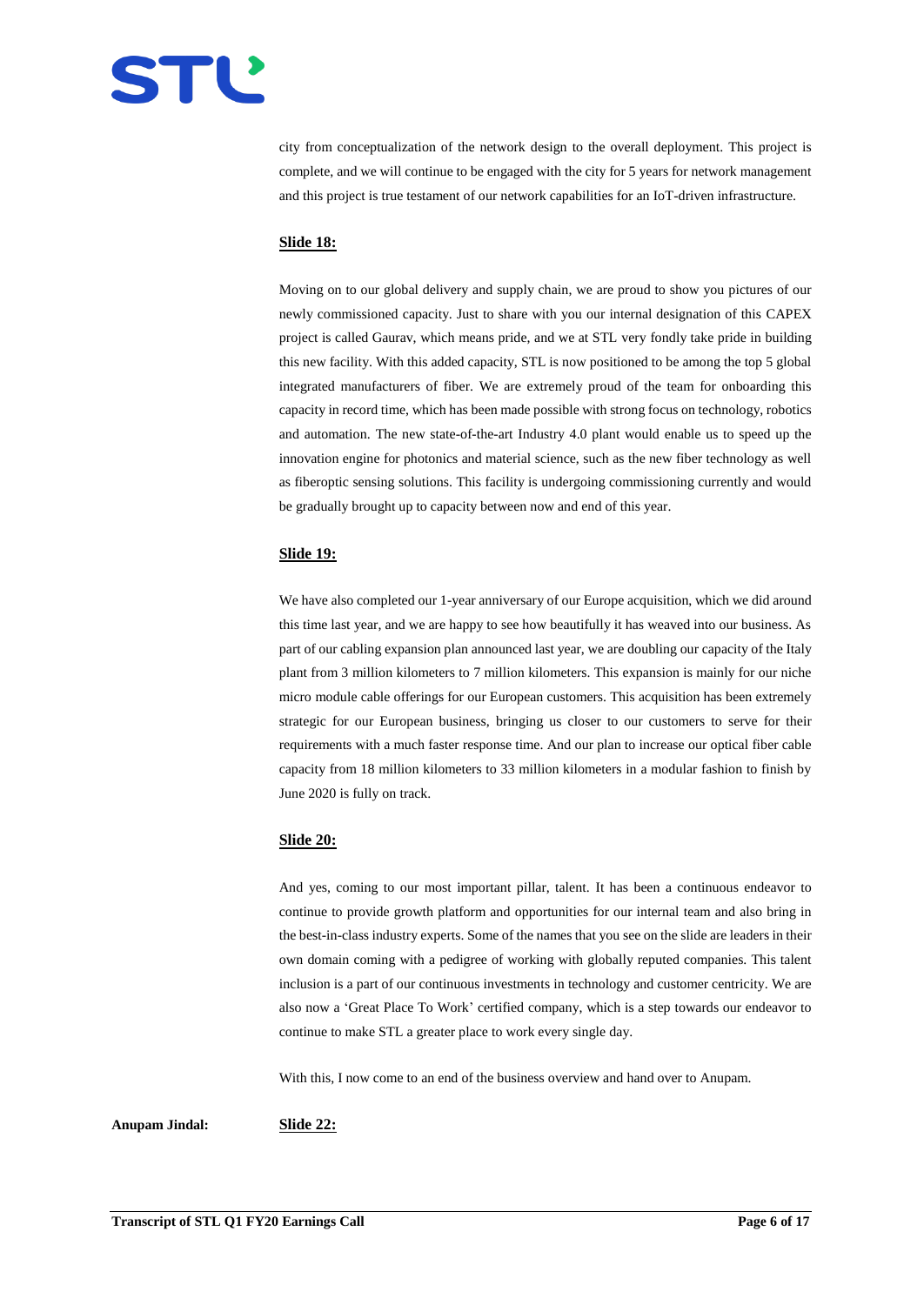

city from conceptualization of the network design to the overall deployment. This project is complete, and we will continue to be engaged with the city for 5 years for network management and this project is true testament of our network capabilities for an IoT-driven infrastructure.

# **Slide 18:**

Moving on to our global delivery and supply chain, we are proud to show you pictures of our newly commissioned capacity. Just to share with you our internal designation of this CAPEX project is called Gaurav, which means pride, and we at STL very fondly take pride in building this new facility. With this added capacity, STL is now positioned to be among the top 5 global integrated manufacturers of fiber. We are extremely proud of the team for onboarding this capacity in record time, which has been made possible with strong focus on technology, robotics and automation. The new state-of-the-art Industry 4.0 plant would enable us to speed up the innovation engine for photonics and material science, such as the new fiber technology as well as fiberoptic sensing solutions. This facility is undergoing commissioning currently and would be gradually brought up to capacity between now and end of this year.

## **Slide 19:**

We have also completed our 1-year anniversary of our Europe acquisition, which we did around this time last year, and we are happy to see how beautifully it has weaved into our business. As part of our cabling expansion plan announced last year, we are doubling our capacity of the Italy plant from 3 million kilometers to 7 million kilometers. This expansion is mainly for our niche micro module cable offerings for our European customers. This acquisition has been extremely strategic for our European business, bringing us closer to our customers to serve for their requirements with a much faster response time. And our plan to increase our optical fiber cable capacity from 18 million kilometers to 33 million kilometers in a modular fashion to finish by June 2020 is fully on track.

# **Slide 20:**

And yes, coming to our most important pillar, talent. It has been a continuous endeavor to continue to provide growth platform and opportunities for our internal team and also bring in the best-in-class industry experts. Some of the names that you see on the slide are leaders in their own domain coming with a pedigree of working with globally reputed companies. This talent inclusion is a part of our continuous investments in technology and customer centricity. We are also now a 'Great Place To Work' certified company, which is a step towards our endeavor to continue to make STL a greater place to work every single day.

With this, I now come to an end of the business overview and hand over to Anupam.

**Anupam Jindal: Slide 22:**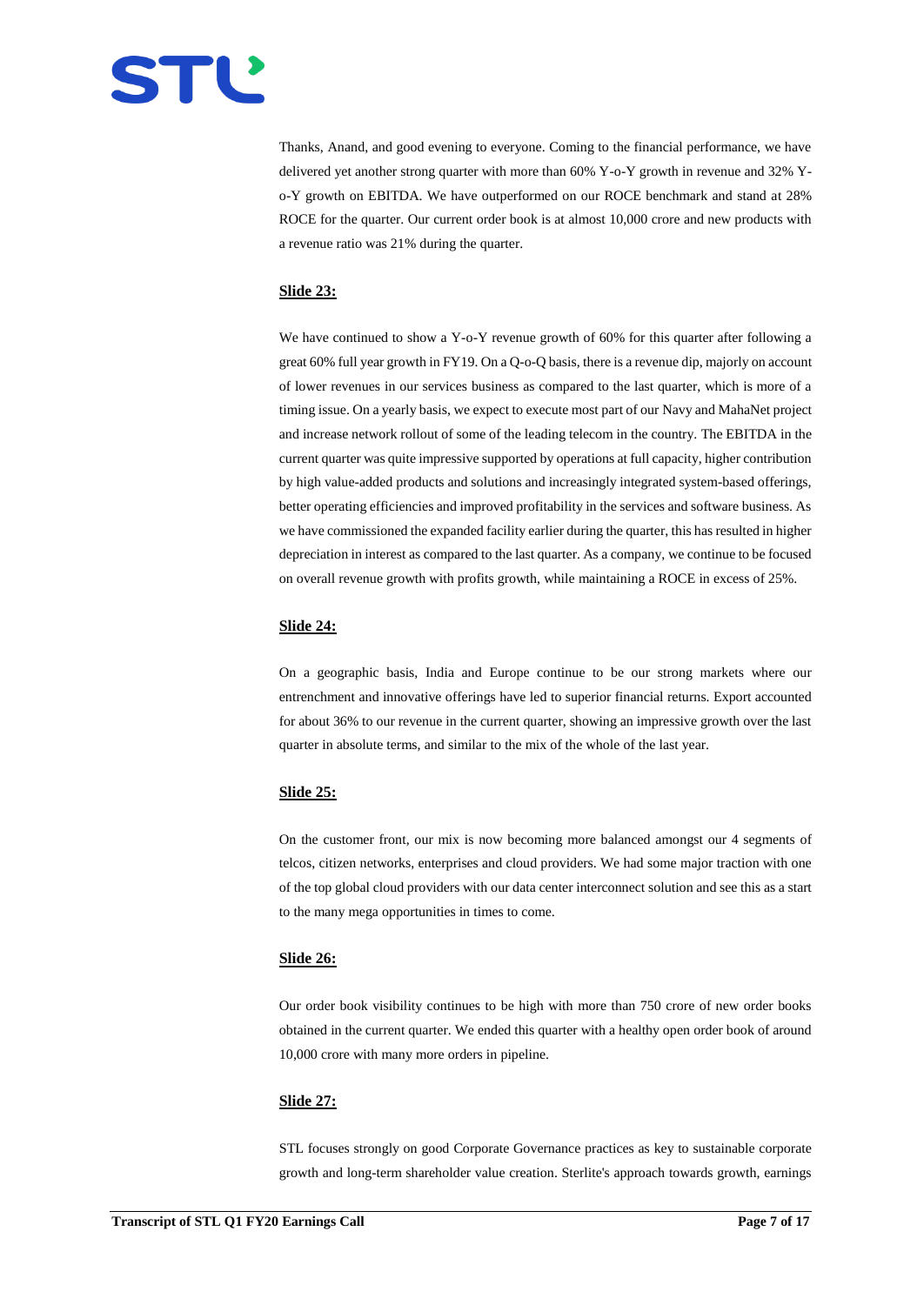

Thanks, Anand, and good evening to everyone. Coming to the financial performance, we have delivered yet another strong quarter with more than 60% Y-o-Y growth in revenue and 32% Yo-Y growth on EBITDA. We have outperformed on our ROCE benchmark and stand at 28% ROCE for the quarter. Our current order book is at almost 10,000 crore and new products with a revenue ratio was 21% during the quarter.

# **Slide 23:**

We have continued to show a Y-o-Y revenue growth of 60% for this quarter after following a great 60% full year growth in FY19. On a Q-o-Q basis, there is a revenue dip, majorly on account of lower revenues in our services business as compared to the last quarter, which is more of a timing issue. On a yearly basis, we expect to execute most part of our Navy and MahaNet project and increase network rollout of some of the leading telecom in the country. The EBITDA in the current quarter was quite impressive supported by operations at full capacity, higher contribution by high value-added products and solutions and increasingly integrated system-based offerings, better operating efficiencies and improved profitability in the services and software business. As we have commissioned the expanded facility earlier during the quarter, this has resulted in higher depreciation in interest as compared to the last quarter. As a company, we continue to be focused on overall revenue growth with profits growth, while maintaining a ROCE in excess of 25%.

#### **Slide 24:**

On a geographic basis, India and Europe continue to be our strong markets where our entrenchment and innovative offerings have led to superior financial returns. Export accounted for about 36% to our revenue in the current quarter, showing an impressive growth over the last quarter in absolute terms, and similar to the mix of the whole of the last year.

#### **Slide 25:**

On the customer front, our mix is now becoming more balanced amongst our 4 segments of telcos, citizen networks, enterprises and cloud providers. We had some major traction with one of the top global cloud providers with our data center interconnect solution and see this as a start to the many mega opportunities in times to come.

## **Slide 26:**

Our order book visibility continues to be high with more than 750 crore of new order books obtained in the current quarter. We ended this quarter with a healthy open order book of around 10,000 crore with many more orders in pipeline.

# **Slide 27:**

STL focuses strongly on good Corporate Governance practices as key to sustainable corporate growth and long-term shareholder value creation. Sterlite's approach towards growth, earnings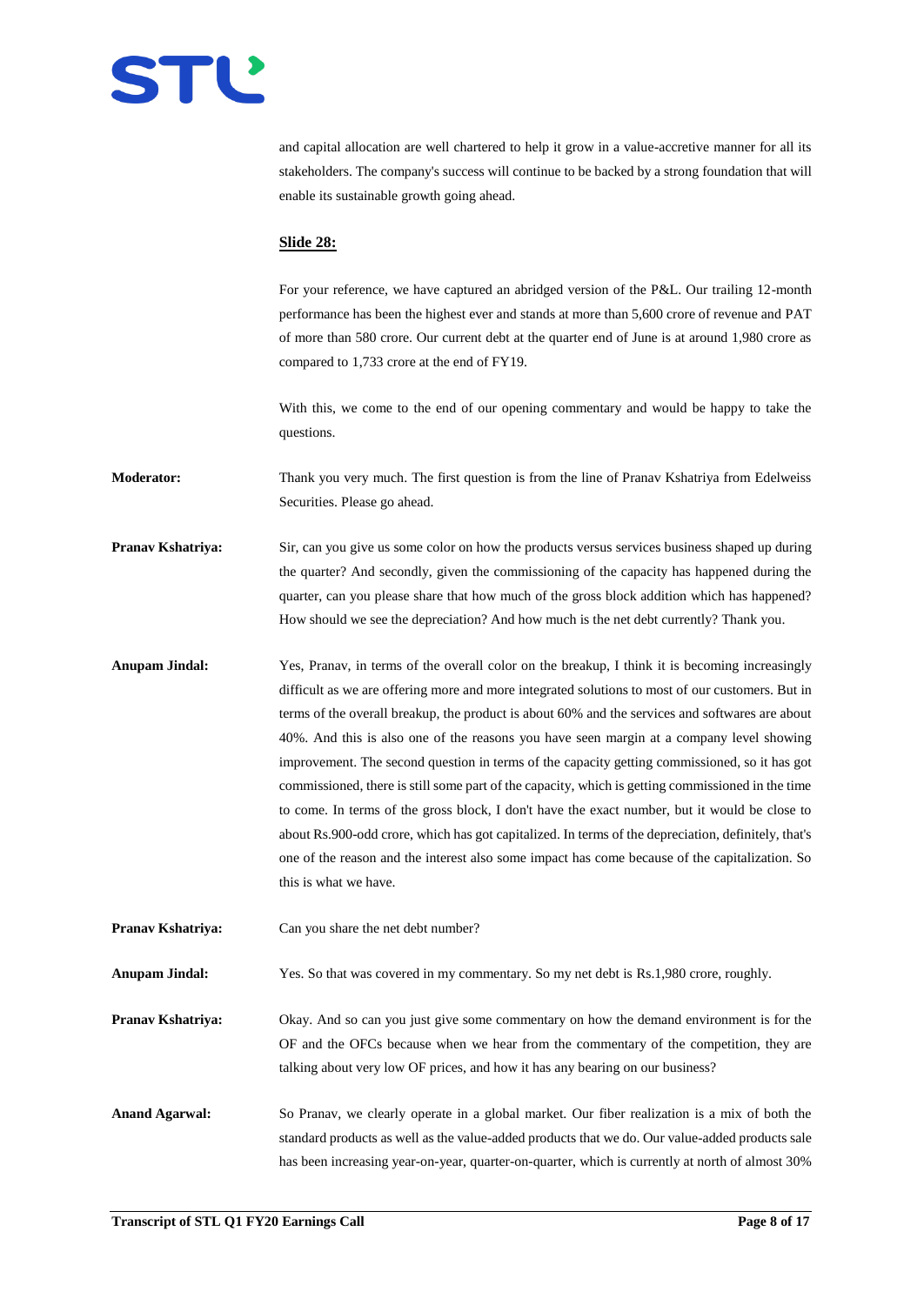

and capital allocation are well chartered to help it grow in a value-accretive manner for all its stakeholders. The company's success will continue to be backed by a strong foundation that will enable its sustainable growth going ahead.

#### **Slide 28:**

For your reference, we have captured an abridged version of the P&L. Our trailing 12-month performance has been the highest ever and stands at more than 5,600 crore of revenue and PAT of more than 580 crore. Our current debt at the quarter end of June is at around 1,980 crore as compared to 1,733 crore at the end of FY19.

With this, we come to the end of our opening commentary and would be happy to take the questions.

**Moderator:** Thank you very much. The first question is from the line of Pranav Kshatriya from Edelweiss Securities. Please go ahead.

- **Pranav Kshatriya:** Sir, can you give us some color on how the products versus services business shaped up during the quarter? And secondly, given the commissioning of the capacity has happened during the quarter, can you please share that how much of the gross block addition which has happened? How should we see the depreciation? And how much is the net debt currently? Thank you.
- **Anupam Jindal:** Yes, Pranav, in terms of the overall color on the breakup, I think it is becoming increasingly difficult as we are offering more and more integrated solutions to most of our customers. But in terms of the overall breakup, the product is about 60% and the services and softwares are about 40%. And this is also one of the reasons you have seen margin at a company level showing improvement. The second question in terms of the capacity getting commissioned, so it has got commissioned, there is still some part of the capacity, which is getting commissioned in the time to come. In terms of the gross block, I don't have the exact number, but it would be close to about Rs.900-odd crore, which has got capitalized. In terms of the depreciation, definitely, that's one of the reason and the interest also some impact has come because of the capitalization. So this is what we have.

**Pranav Kshatriya:** Can you share the net debt number?

**Anupam Jindal:** Yes. So that was covered in my commentary. So my net debt is Rs.1,980 crore, roughly.

**Pranav Kshatriya:** Okay. And so can you just give some commentary on how the demand environment is for the OF and the OFCs because when we hear from the commentary of the competition, they are talking about very low OF prices, and how it has any bearing on our business?

**Anand Agarwal:** So Pranav, we clearly operate in a global market. Our fiber realization is a mix of both the standard products as well as the value-added products that we do. Our value-added products sale has been increasing year-on-year, quarter-on-quarter, which is currently at north of almost 30%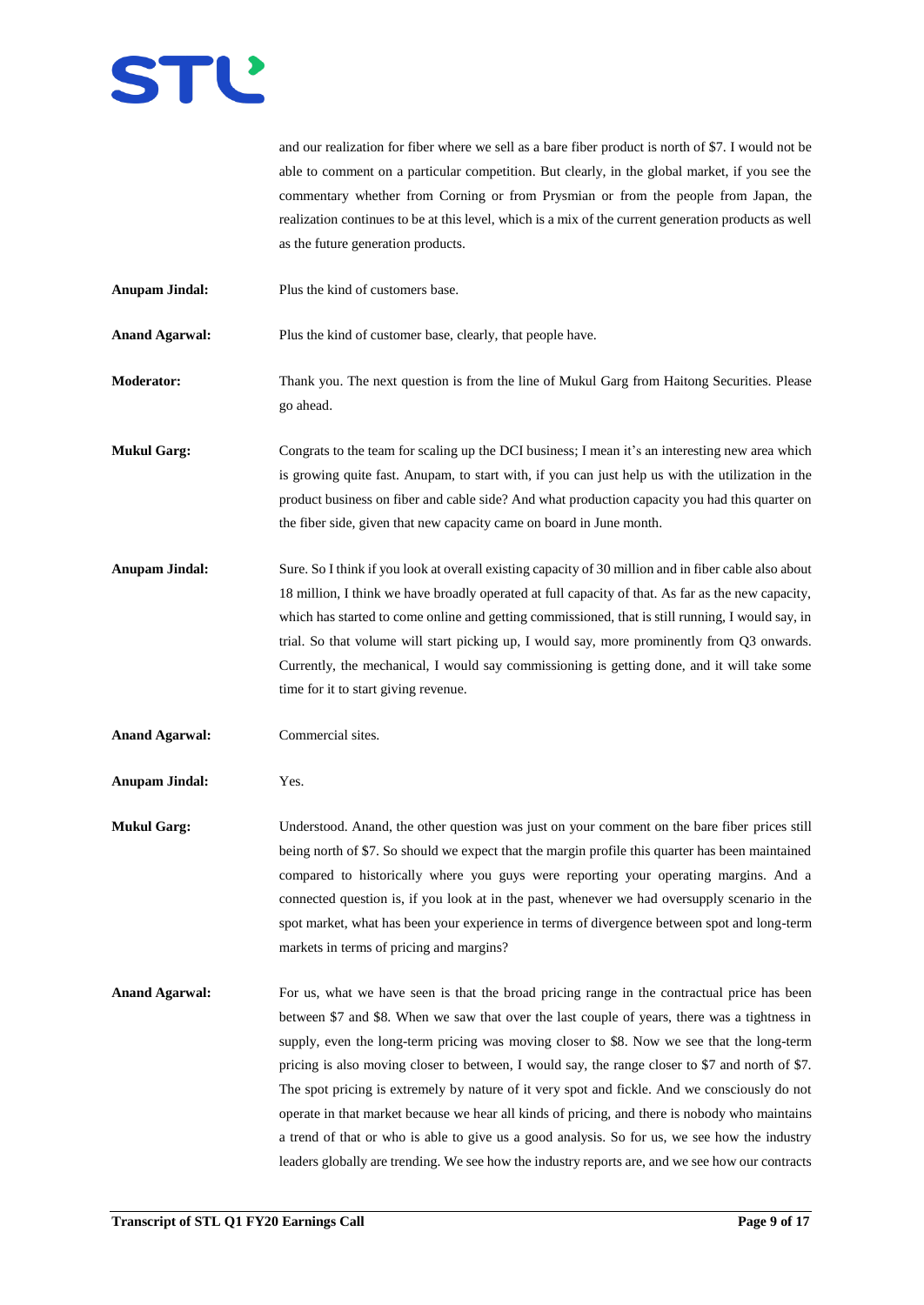

and our realization for fiber where we sell as a bare fiber product is north of \$7. I would not be able to comment on a particular competition. But clearly, in the global market, if you see the commentary whether from Corning or from Prysmian or from the people from Japan, the realization continues to be at this level, which is a mix of the current generation products as well as the future generation products.

**Anupam Jindal:** Plus the kind of customers base.

Anand Agarwal: Plus the kind of customer base, clearly, that people have.

**Moderator:** Thank you. The next question is from the line of Mukul Garg from Haitong Securities. Please go ahead.

**Mukul Garg:** Congrats to the team for scaling up the DCI business; I mean it's an interesting new area which is growing quite fast. Anupam, to start with, if you can just help us with the utilization in the product business on fiber and cable side? And what production capacity you had this quarter on the fiber side, given that new capacity came on board in June month.

- **Anupam Jindal:** Sure. So I think if you look at overall existing capacity of 30 million and in fiber cable also about 18 million, I think we have broadly operated at full capacity of that. As far as the new capacity, which has started to come online and getting commissioned, that is still running, I would say, in trial. So that volume will start picking up, I would say, more prominently from Q3 onwards. Currently, the mechanical, I would say commissioning is getting done, and it will take some time for it to start giving revenue.
- **Anand Agarwal:** Commercial sites.

**Anupam Jindal:** Yes.

- **Mukul Garg:** Understood. Anand, the other question was just on your comment on the bare fiber prices still being north of \$7. So should we expect that the margin profile this quarter has been maintained compared to historically where you guys were reporting your operating margins. And a connected question is, if you look at in the past, whenever we had oversupply scenario in the spot market, what has been your experience in terms of divergence between spot and long-term markets in terms of pricing and margins?
- Anand Agarwal: For us, what we have seen is that the broad pricing range in the contractual price has been between \$7 and \$8. When we saw that over the last couple of years, there was a tightness in supply, even the long-term pricing was moving closer to \$8. Now we see that the long-term pricing is also moving closer to between, I would say, the range closer to \$7 and north of \$7. The spot pricing is extremely by nature of it very spot and fickle. And we consciously do not operate in that market because we hear all kinds of pricing, and there is nobody who maintains a trend of that or who is able to give us a good analysis. So for us, we see how the industry leaders globally are trending. We see how the industry reports are, and we see how our contracts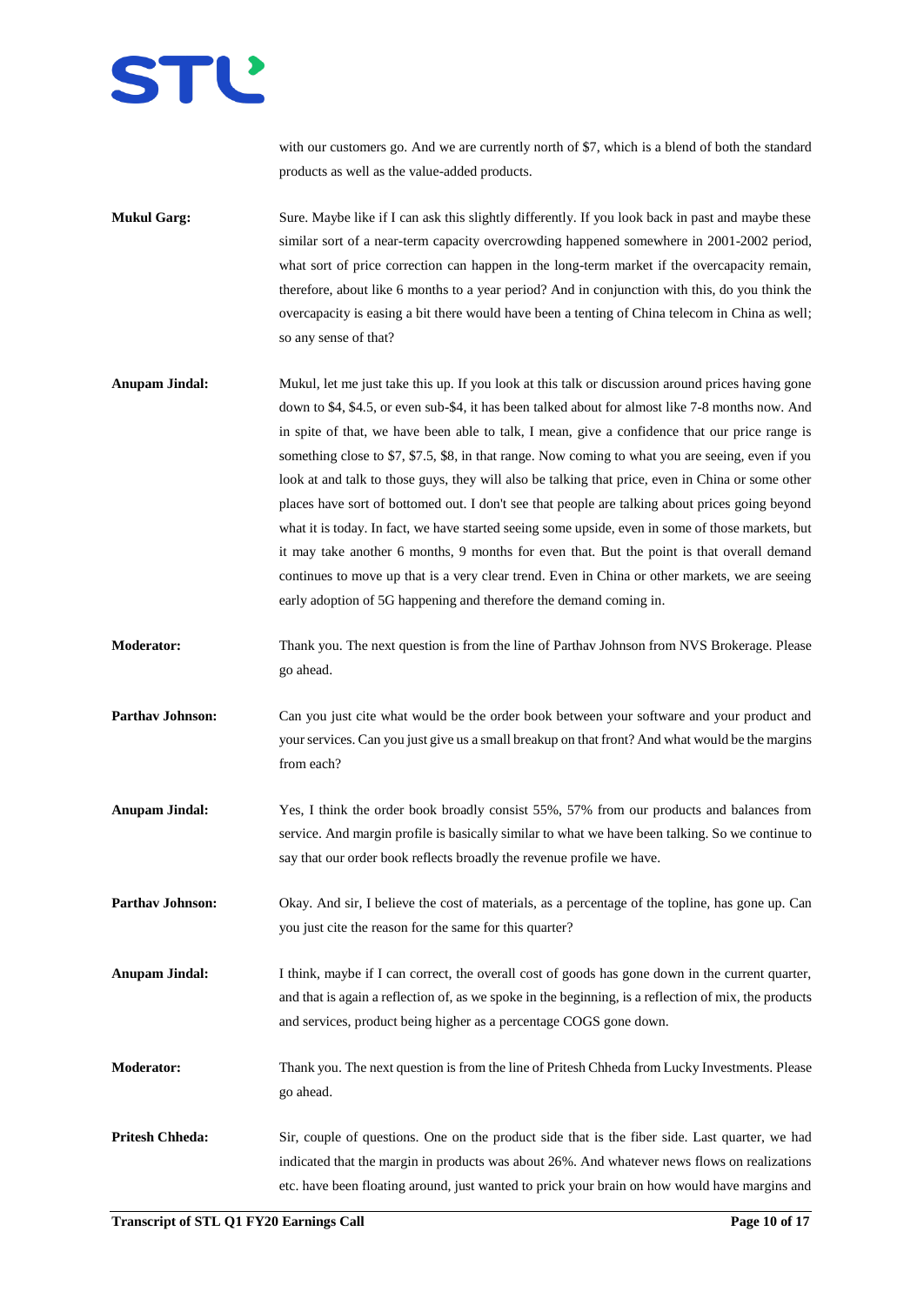with our customers go. And we are currently north of \$7, which is a blend of both the standard products as well as the value-added products.

- **Mukul Garg:** Sure. Maybe like if I can ask this slightly differently. If you look back in past and maybe these similar sort of a near-term capacity overcrowding happened somewhere in 2001-2002 period, what sort of price correction can happen in the long-term market if the overcapacity remain, therefore, about like 6 months to a year period? And in conjunction with this, do you think the overcapacity is easing a bit there would have been a tenting of China telecom in China as well; so any sense of that?
- **Anupam Jindal:** Mukul, let me just take this up. If you look at this talk or discussion around prices having gone down to \$4, \$4.5, or even sub-\$4, it has been talked about for almost like 7-8 months now. And in spite of that, we have been able to talk, I mean, give a confidence that our price range is something close to \$7, \$7.5, \$8, in that range. Now coming to what you are seeing, even if you look at and talk to those guys, they will also be talking that price, even in China or some other places have sort of bottomed out. I don't see that people are talking about prices going beyond what it is today. In fact, we have started seeing some upside, even in some of those markets, but it may take another 6 months, 9 months for even that. But the point is that overall demand continues to move up that is a very clear trend. Even in China or other markets, we are seeing early adoption of 5G happening and therefore the demand coming in.
- **Moderator:** Thank you. The next question is from the line of Parthav Johnson from NVS Brokerage. Please go ahead.
- **Parthav Johnson:** Can you just cite what would be the order book between your software and your product and your services. Can you just give us a small breakup on that front? And what would be the margins from each?
- **Anupam Jindal:** Yes, I think the order book broadly consist 55%, 57% from our products and balances from service. And margin profile is basically similar to what we have been talking. So we continue to say that our order book reflects broadly the revenue profile we have.
- **Parthav Johnson:** Okay. And sir, I believe the cost of materials, as a percentage of the topline, has gone up. Can you just cite the reason for the same for this quarter?
- **Anupam Jindal:** I think, maybe if I can correct, the overall cost of goods has gone down in the current quarter, and that is again a reflection of, as we spoke in the beginning, is a reflection of mix, the products and services, product being higher as a percentage COGS gone down.
- **Moderator:** Thank you. The next question is from the line of Pritesh Chheda from Lucky Investments. Please go ahead.
- **Pritesh Chheda:** Sir, couple of questions. One on the product side that is the fiber side. Last quarter, we had indicated that the margin in products was about 26%. And whatever news flows on realizations etc. have been floating around, just wanted to prick your brain on how would have margins and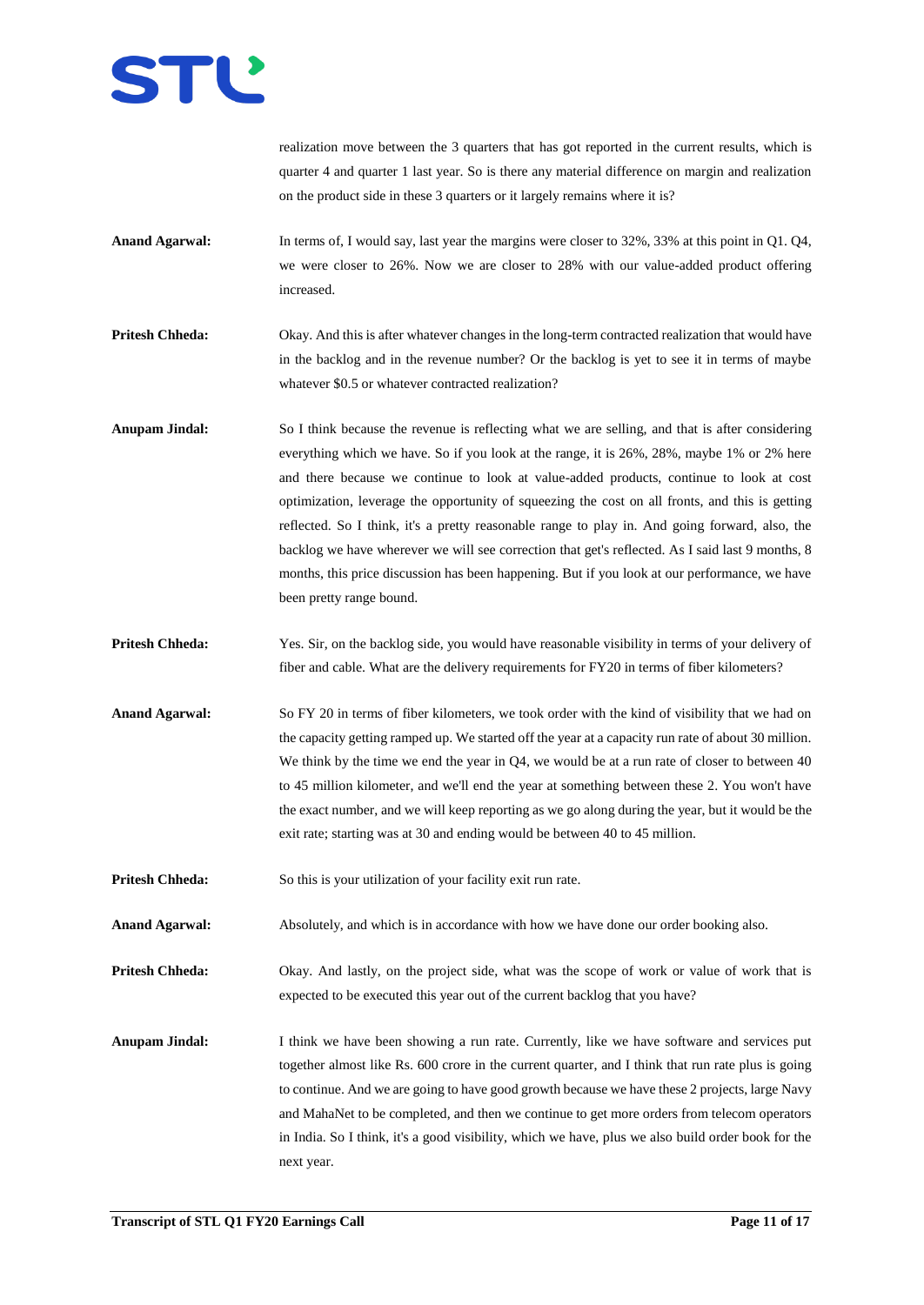

realization move between the 3 quarters that has got reported in the current results, which is quarter 4 and quarter 1 last year. So is there any material difference on margin and realization on the product side in these 3 quarters or it largely remains where it is?

- **Anand Agarwal:** In terms of, I would say, last year the margins were closer to 32%, 33% at this point in Q1. Q4, we were closer to 26%. Now we are closer to 28% with our value-added product offering increased.
- **Pritesh Chheda:** Okay. And this is after whatever changes in the long-term contracted realization that would have in the backlog and in the revenue number? Or the backlog is yet to see it in terms of maybe whatever \$0.5 or whatever contracted realization?
- **Anupam Jindal:** So I think because the revenue is reflecting what we are selling, and that is after considering everything which we have. So if you look at the range, it is 26%, 28%, maybe 1% or 2% here and there because we continue to look at value-added products, continue to look at cost optimization, leverage the opportunity of squeezing the cost on all fronts, and this is getting reflected. So I think, it's a pretty reasonable range to play in. And going forward, also, the backlog we have wherever we will see correction that get's reflected. As I said last 9 months, 8 months, this price discussion has been happening. But if you look at our performance, we have been pretty range bound.
- **Pritesh Chheda:** Yes. Sir, on the backlog side, you would have reasonable visibility in terms of your delivery of fiber and cable. What are the delivery requirements for FY20 in terms of fiber kilometers?
- **Anand Agarwal:** So FY 20 in terms of fiber kilometers, we took order with the kind of visibility that we had on the capacity getting ramped up. We started off the year at a capacity run rate of about 30 million. We think by the time we end the year in Q4, we would be at a run rate of closer to between 40 to 45 million kilometer, and we'll end the year at something between these 2. You won't have the exact number, and we will keep reporting as we go along during the year, but it would be the exit rate; starting was at 30 and ending would be between 40 to 45 million.
- **Pritesh Chheda:** So this is your utilization of your facility exit run rate.
- **Anand Agarwal:** Absolutely, and which is in accordance with how we have done our order booking also.

**Pritesh Chheda:** Okay. And lastly, on the project side, what was the scope of work or value of work that is expected to be executed this year out of the current backlog that you have?

**Anupam Jindal:** I think we have been showing a run rate. Currently, like we have software and services put together almost like Rs. 600 crore in the current quarter, and I think that run rate plus is going to continue. And we are going to have good growth because we have these 2 projects, large Navy and MahaNet to be completed, and then we continue to get more orders from telecom operators in India. So I think, it's a good visibility, which we have, plus we also build order book for the next year.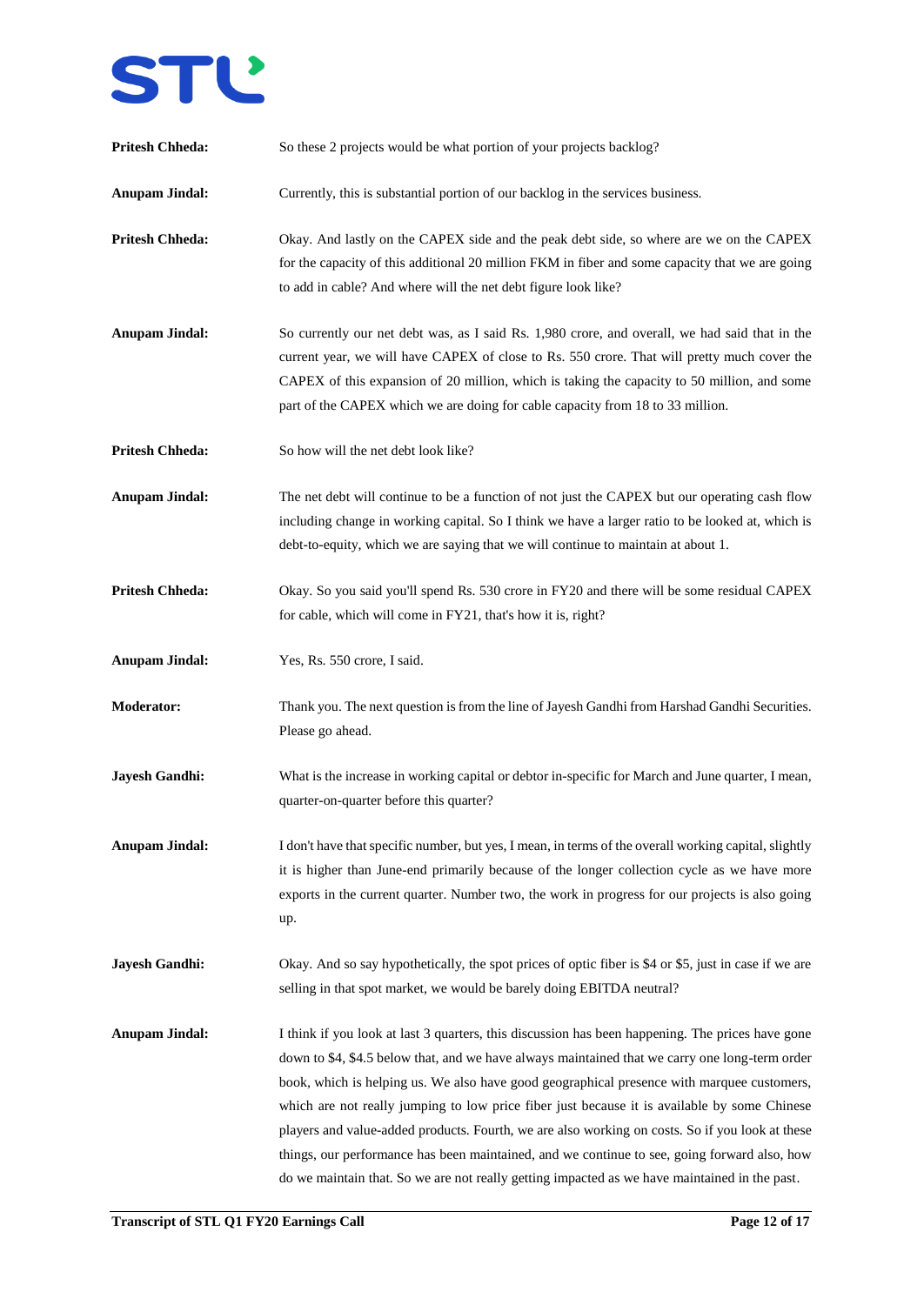

| <b>Pritesh Chheda:</b> | So these 2 projects would be what portion of your projects backlog?                                                                                                                                                                                                                                                                                                                                                                                                                                                                                                                                                                                                                                  |
|------------------------|------------------------------------------------------------------------------------------------------------------------------------------------------------------------------------------------------------------------------------------------------------------------------------------------------------------------------------------------------------------------------------------------------------------------------------------------------------------------------------------------------------------------------------------------------------------------------------------------------------------------------------------------------------------------------------------------------|
| <b>Anupam Jindal:</b>  | Currently, this is substantial portion of our backlog in the services business.                                                                                                                                                                                                                                                                                                                                                                                                                                                                                                                                                                                                                      |
| <b>Pritesh Chheda:</b> | Okay. And lastly on the CAPEX side and the peak debt side, so where are we on the CAPEX<br>for the capacity of this additional 20 million FKM in fiber and some capacity that we are going<br>to add in cable? And where will the net debt figure look like?                                                                                                                                                                                                                                                                                                                                                                                                                                         |
| <b>Anupam Jindal:</b>  | So currently our net debt was, as I said Rs. 1,980 crore, and overall, we had said that in the<br>current year, we will have CAPEX of close to Rs. 550 crore. That will pretty much cover the<br>CAPEX of this expansion of 20 million, which is taking the capacity to 50 million, and some<br>part of the CAPEX which we are doing for cable capacity from 18 to 33 million.                                                                                                                                                                                                                                                                                                                       |
| <b>Pritesh Chheda:</b> | So how will the net debt look like?                                                                                                                                                                                                                                                                                                                                                                                                                                                                                                                                                                                                                                                                  |
| <b>Anupam Jindal:</b>  | The net debt will continue to be a function of not just the CAPEX but our operating cash flow<br>including change in working capital. So I think we have a larger ratio to be looked at, which is<br>debt-to-equity, which we are saying that we will continue to maintain at about 1.                                                                                                                                                                                                                                                                                                                                                                                                               |
| <b>Pritesh Chheda:</b> | Okay. So you said you'll spend Rs. 530 crore in FY20 and there will be some residual CAPEX<br>for cable, which will come in FY21, that's how it is, right?                                                                                                                                                                                                                                                                                                                                                                                                                                                                                                                                           |
| <b>Anupam Jindal:</b>  | Yes, Rs. 550 crore, I said.                                                                                                                                                                                                                                                                                                                                                                                                                                                                                                                                                                                                                                                                          |
| <b>Moderator:</b>      | Thank you. The next question is from the line of Jayesh Gandhi from Harshad Gandhi Securities.<br>Please go ahead.                                                                                                                                                                                                                                                                                                                                                                                                                                                                                                                                                                                   |
| <b>Jayesh Gandhi:</b>  | What is the increase in working capital or debtor in-specific for March and June quarter, I mean,<br>quarter-on-quarter before this quarter?                                                                                                                                                                                                                                                                                                                                                                                                                                                                                                                                                         |
| <b>Anupam Jindal:</b>  | I don't have that specific number, but yes, I mean, in terms of the overall working capital, slightly<br>it is higher than June-end primarily because of the longer collection cycle as we have more<br>exports in the current quarter. Number two, the work in progress for our projects is also going<br>up.                                                                                                                                                                                                                                                                                                                                                                                       |
| <b>Jayesh Gandhi:</b>  | Okay. And so say hypothetically, the spot prices of optic fiber is \$4 or \$5, just in case if we are<br>selling in that spot market, we would be barely doing EBITDA neutral?                                                                                                                                                                                                                                                                                                                                                                                                                                                                                                                       |
| <b>Anupam Jindal:</b>  | I think if you look at last 3 quarters, this discussion has been happening. The prices have gone<br>down to \$4, \$4.5 below that, and we have always maintained that we carry one long-term order<br>book, which is helping us. We also have good geographical presence with marquee customers,<br>which are not really jumping to low price fiber just because it is available by some Chinese<br>players and value-added products. Fourth, we are also working on costs. So if you look at these<br>things, our performance has been maintained, and we continue to see, going forward also, how<br>do we maintain that. So we are not really getting impacted as we have maintained in the past. |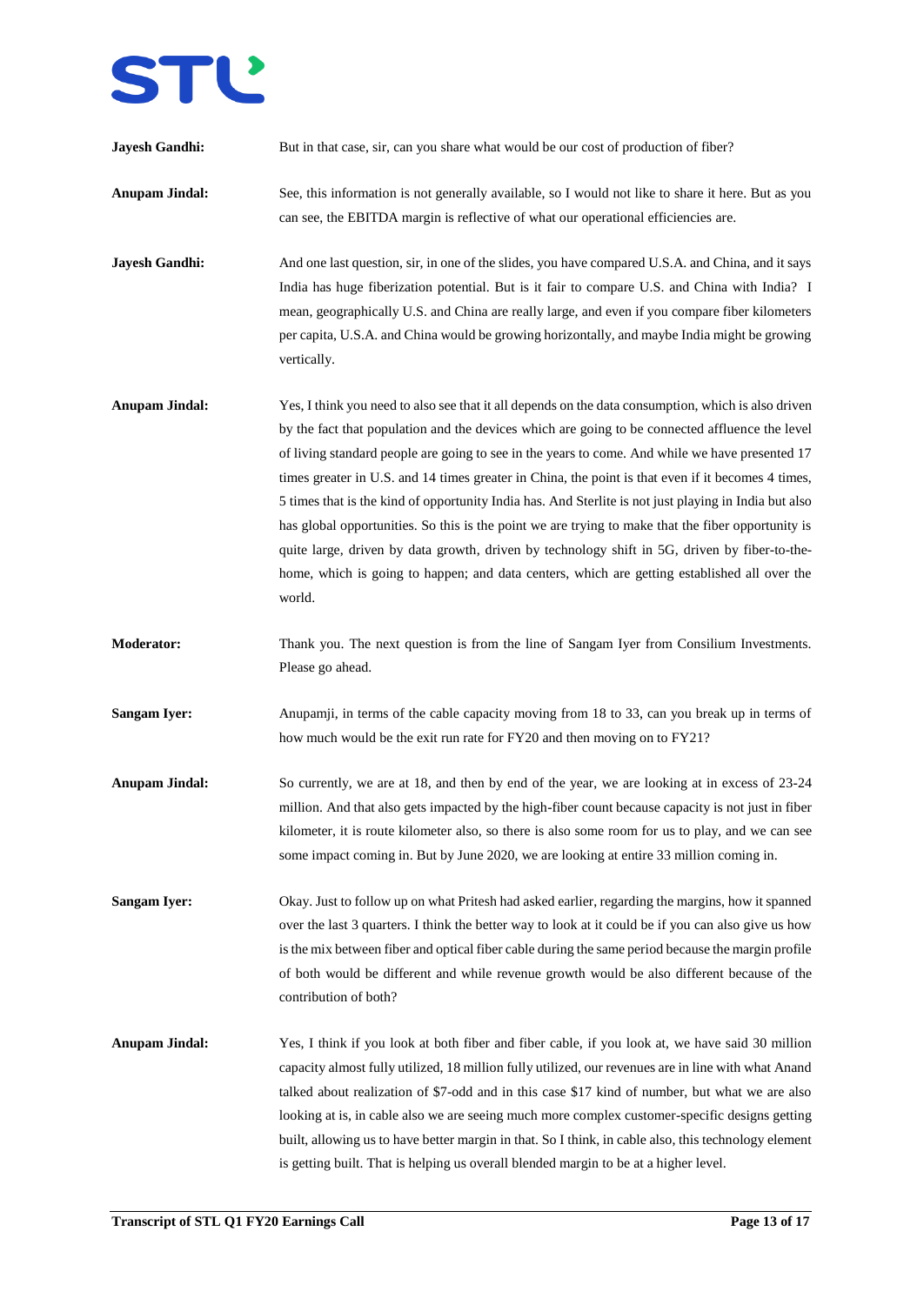

| <b>Jayesh Gandhi:</b> | But in that case, sir, can you share what would be our cost of production of fiber?                                                                                                                                                                                                                                                                                                                                                                                                                                                                                                                                                                                                                                                                                                                                                       |
|-----------------------|-------------------------------------------------------------------------------------------------------------------------------------------------------------------------------------------------------------------------------------------------------------------------------------------------------------------------------------------------------------------------------------------------------------------------------------------------------------------------------------------------------------------------------------------------------------------------------------------------------------------------------------------------------------------------------------------------------------------------------------------------------------------------------------------------------------------------------------------|
| <b>Anupam Jindal:</b> | See, this information is not generally available, so I would not like to share it here. But as you<br>can see, the EBITDA margin is reflective of what our operational efficiencies are.                                                                                                                                                                                                                                                                                                                                                                                                                                                                                                                                                                                                                                                  |
| <b>Jayesh Gandhi:</b> | And one last question, sir, in one of the slides, you have compared U.S.A. and China, and it says<br>India has huge fiberization potential. But is it fair to compare U.S. and China with India? I<br>mean, geographically U.S. and China are really large, and even if you compare fiber kilometers<br>per capita, U.S.A. and China would be growing horizontally, and maybe India might be growing<br>vertically.                                                                                                                                                                                                                                                                                                                                                                                                                       |
| <b>Anupam Jindal:</b> | Yes, I think you need to also see that it all depends on the data consumption, which is also driven<br>by the fact that population and the devices which are going to be connected affluence the level<br>of living standard people are going to see in the years to come. And while we have presented 17<br>times greater in U.S. and 14 times greater in China, the point is that even if it becomes 4 times,<br>5 times that is the kind of opportunity India has. And Sterlite is not just playing in India but also<br>has global opportunities. So this is the point we are trying to make that the fiber opportunity is<br>quite large, driven by data growth, driven by technology shift in 5G, driven by fiber-to-the-<br>home, which is going to happen; and data centers, which are getting established all over the<br>world. |
| <b>Moderator:</b>     | Thank you. The next question is from the line of Sangam Iyer from Consilium Investments.<br>Please go ahead.                                                                                                                                                                                                                                                                                                                                                                                                                                                                                                                                                                                                                                                                                                                              |
| <b>Sangam Iyer:</b>   | Anupamji, in terms of the cable capacity moving from 18 to 33, can you break up in terms of<br>how much would be the exit run rate for FY20 and then moving on to FY21?                                                                                                                                                                                                                                                                                                                                                                                                                                                                                                                                                                                                                                                                   |
| <b>Anupam Jindal:</b> | So currently, we are at 18, and then by end of the year, we are looking at in excess of 23-24<br>million. And that also gets impacted by the high-fiber count because capacity is not just in fiber<br>kilometer, it is route kilometer also, so there is also some room for us to play, and we can see<br>some impact coming in. But by June 2020, we are looking at entire 33 million coming in.                                                                                                                                                                                                                                                                                                                                                                                                                                        |
| <b>Sangam Iyer:</b>   | Okay. Just to follow up on what Pritesh had asked earlier, regarding the margins, how it spanned<br>over the last 3 quarters. I think the better way to look at it could be if you can also give us how<br>is the mix between fiber and optical fiber cable during the same period because the margin profile<br>of both would be different and while revenue growth would be also different because of the<br>contribution of both?                                                                                                                                                                                                                                                                                                                                                                                                      |
| <b>Anupam Jindal:</b> | Yes, I think if you look at both fiber and fiber cable, if you look at, we have said 30 million<br>capacity almost fully utilized, 18 million fully utilized, our revenues are in line with what Anand<br>talked about realization of \$7-odd and in this case \$17 kind of number, but what we are also<br>looking at is, in cable also we are seeing much more complex customer-specific designs getting<br>built, allowing us to have better margin in that. So I think, in cable also, this technology element<br>is getting built. That is helping us overall blended margin to be at a higher level.                                                                                                                                                                                                                                |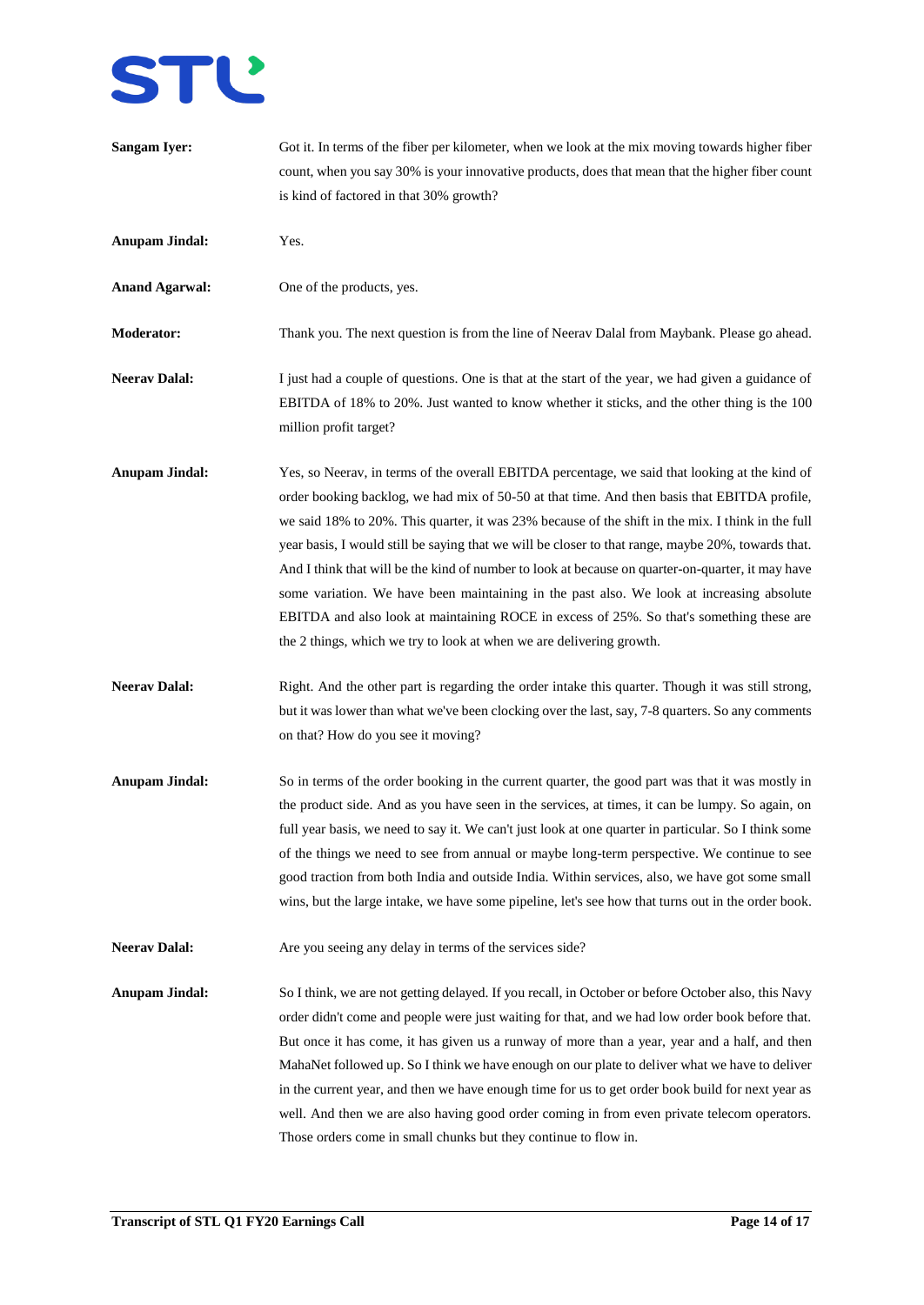

| <b>Sangam Iyer:</b>   | Got it. In terms of the fiber per kilometer, when we look at the mix moving towards higher fiber<br>count, when you say 30% is your innovative products, does that mean that the higher fiber count<br>is kind of factored in that 30% growth?                                                                                                                                                                                                                                                                                                                                                                                                                                                                                                                                  |
|-----------------------|---------------------------------------------------------------------------------------------------------------------------------------------------------------------------------------------------------------------------------------------------------------------------------------------------------------------------------------------------------------------------------------------------------------------------------------------------------------------------------------------------------------------------------------------------------------------------------------------------------------------------------------------------------------------------------------------------------------------------------------------------------------------------------|
| <b>Anupam Jindal:</b> | Yes.                                                                                                                                                                                                                                                                                                                                                                                                                                                                                                                                                                                                                                                                                                                                                                            |
| <b>Anand Agarwal:</b> | One of the products, yes.                                                                                                                                                                                                                                                                                                                                                                                                                                                                                                                                                                                                                                                                                                                                                       |
| Moderator:            | Thank you. The next question is from the line of Neerav Dalal from Maybank. Please go ahead.                                                                                                                                                                                                                                                                                                                                                                                                                                                                                                                                                                                                                                                                                    |
| <b>Neerav Dalal:</b>  | I just had a couple of questions. One is that at the start of the year, we had given a guidance of<br>EBITDA of 18% to 20%. Just wanted to know whether it sticks, and the other thing is the 100<br>million profit target?                                                                                                                                                                                                                                                                                                                                                                                                                                                                                                                                                     |
| <b>Anupam Jindal:</b> | Yes, so Neerav, in terms of the overall EBITDA percentage, we said that looking at the kind of<br>order booking backlog, we had mix of 50-50 at that time. And then basis that EBITDA profile,<br>we said 18% to 20%. This quarter, it was 23% because of the shift in the mix. I think in the full<br>year basis, I would still be saying that we will be closer to that range, maybe 20%, towards that.<br>And I think that will be the kind of number to look at because on quarter-on-quarter, it may have<br>some variation. We have been maintaining in the past also. We look at increasing absolute<br>EBITDA and also look at maintaining ROCE in excess of 25%. So that's something these are<br>the 2 things, which we try to look at when we are delivering growth. |
| <b>Neerav Dalal:</b>  | Right. And the other part is regarding the order intake this quarter. Though it was still strong,<br>but it was lower than what we've been clocking over the last, say, 7-8 quarters. So any comments<br>on that? How do you see it moving?                                                                                                                                                                                                                                                                                                                                                                                                                                                                                                                                     |
| <b>Anupam Jindal:</b> | So in terms of the order booking in the current quarter, the good part was that it was mostly in<br>the product side. And as you have seen in the services, at times, it can be lumpy. So again, on<br>full year basis, we need to say it. We can't just look at one quarter in particular. So I think some<br>of the things we need to see from annual or maybe long-term perspective. We continue to see<br>good traction from both India and outside India. Within services, also, we have got some small<br>wins, but the large intake, we have some pipeline, let's see how that turns out in the order book.                                                                                                                                                              |
| <b>Neerav Dalal:</b>  | Are you seeing any delay in terms of the services side?                                                                                                                                                                                                                                                                                                                                                                                                                                                                                                                                                                                                                                                                                                                         |
| <b>Anupam Jindal:</b> | So I think, we are not getting delayed. If you recall, in October or before October also, this Navy<br>order didn't come and people were just waiting for that, and we had low order book before that.<br>But once it has come, it has given us a runway of more than a year, year and a half, and then<br>MahaNet followed up. So I think we have enough on our plate to deliver what we have to deliver<br>in the current year, and then we have enough time for us to get order book build for next year as<br>well. And then we are also having good order coming in from even private telecom operators.<br>Those orders come in small chunks but they continue to flow in.                                                                                                |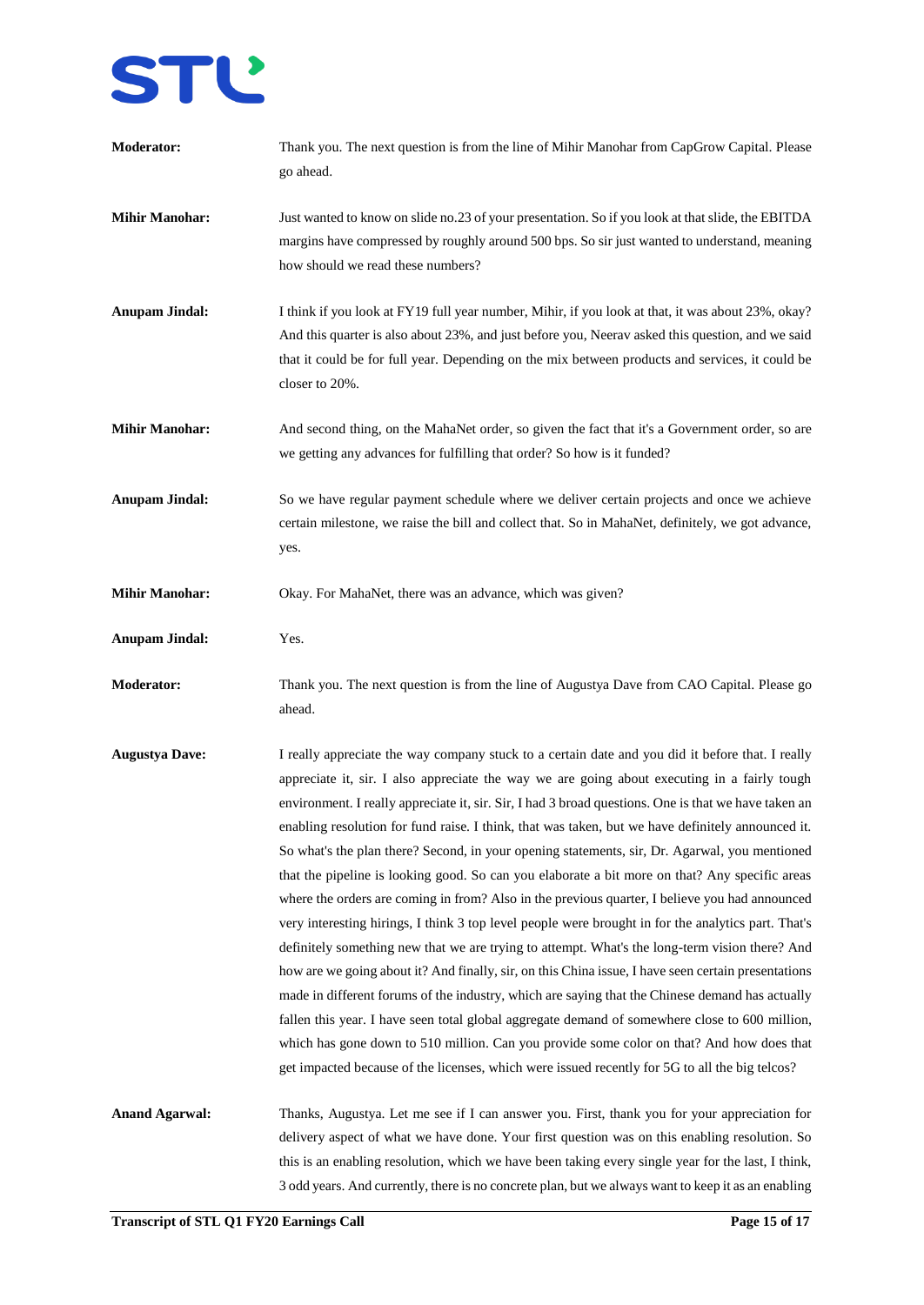

| <b>Moderator:</b>     | Thank you. The next question is from the line of Mihir Manohar from CapGrow Capital. Please<br>go ahead.                                                                                                                                                                                                                                                                                                                                                                                                                                                                                                                                                                                                                                                                                                                                                                                                                                                                                                                                                                                                                                                                                                                                                                                                                                                                                                                               |
|-----------------------|----------------------------------------------------------------------------------------------------------------------------------------------------------------------------------------------------------------------------------------------------------------------------------------------------------------------------------------------------------------------------------------------------------------------------------------------------------------------------------------------------------------------------------------------------------------------------------------------------------------------------------------------------------------------------------------------------------------------------------------------------------------------------------------------------------------------------------------------------------------------------------------------------------------------------------------------------------------------------------------------------------------------------------------------------------------------------------------------------------------------------------------------------------------------------------------------------------------------------------------------------------------------------------------------------------------------------------------------------------------------------------------------------------------------------------------|
| <b>Mihir Manohar:</b> | Just wanted to know on slide no.23 of your presentation. So if you look at that slide, the EBITDA<br>margins have compressed by roughly around 500 bps. So sir just wanted to understand, meaning<br>how should we read these numbers?                                                                                                                                                                                                                                                                                                                                                                                                                                                                                                                                                                                                                                                                                                                                                                                                                                                                                                                                                                                                                                                                                                                                                                                                 |
| <b>Anupam Jindal:</b> | I think if you look at FY19 full year number, Mihir, if you look at that, it was about 23%, okay?<br>And this quarter is also about 23%, and just before you, Neerav asked this question, and we said<br>that it could be for full year. Depending on the mix between products and services, it could be<br>closer to 20%.                                                                                                                                                                                                                                                                                                                                                                                                                                                                                                                                                                                                                                                                                                                                                                                                                                                                                                                                                                                                                                                                                                             |
| <b>Mihir Manohar:</b> | And second thing, on the MahaNet order, so given the fact that it's a Government order, so are<br>we getting any advances for fulfilling that order? So how is it funded?                                                                                                                                                                                                                                                                                                                                                                                                                                                                                                                                                                                                                                                                                                                                                                                                                                                                                                                                                                                                                                                                                                                                                                                                                                                              |
| <b>Anupam Jindal:</b> | So we have regular payment schedule where we deliver certain projects and once we achieve<br>certain milestone, we raise the bill and collect that. So in MahaNet, definitely, we got advance,<br>yes.                                                                                                                                                                                                                                                                                                                                                                                                                                                                                                                                                                                                                                                                                                                                                                                                                                                                                                                                                                                                                                                                                                                                                                                                                                 |
| <b>Mihir Manohar:</b> | Okay. For MahaNet, there was an advance, which was given?                                                                                                                                                                                                                                                                                                                                                                                                                                                                                                                                                                                                                                                                                                                                                                                                                                                                                                                                                                                                                                                                                                                                                                                                                                                                                                                                                                              |
| <b>Anupam Jindal:</b> | Yes.                                                                                                                                                                                                                                                                                                                                                                                                                                                                                                                                                                                                                                                                                                                                                                                                                                                                                                                                                                                                                                                                                                                                                                                                                                                                                                                                                                                                                                   |
| <b>Moderator:</b>     | Thank you. The next question is from the line of Augustya Dave from CAO Capital. Please go<br>ahead.                                                                                                                                                                                                                                                                                                                                                                                                                                                                                                                                                                                                                                                                                                                                                                                                                                                                                                                                                                                                                                                                                                                                                                                                                                                                                                                                   |
| <b>Augustya Dave:</b> | I really appreciate the way company stuck to a certain date and you did it before that. I really<br>appreciate it, sir. I also appreciate the way we are going about executing in a fairly tough<br>environment. I really appreciate it, sir. Sir, I had 3 broad questions. One is that we have taken an<br>enabling resolution for fund raise. I think, that was taken, but we have definitely announced it.<br>So what's the plan there? Second, in your opening statements, sir, Dr. Agarwal, you mentioned<br>that the pipeline is looking good. So can you elaborate a bit more on that? Any specific areas<br>where the orders are coming in from? Also in the previous quarter, I believe you had announced<br>very interesting hirings, I think 3 top level people were brought in for the analytics part. That's<br>definitely something new that we are trying to attempt. What's the long-term vision there? And<br>how are we going about it? And finally, sir, on this China issue, I have seen certain presentations<br>made in different forums of the industry, which are saying that the Chinese demand has actually<br>fallen this year. I have seen total global aggregate demand of somewhere close to 600 million,<br>which has gone down to 510 million. Can you provide some color on that? And how does that<br>get impacted because of the licenses, which were issued recently for 5G to all the big telcos? |
| <b>Anand Agarwal:</b> | Thanks, Augustya. Let me see if I can answer you. First, thank you for your appreciation for<br>delivery aspect of what we have done. Your first question was on this enabling resolution. So<br>this is an enabling resolution, which we have been taking every single year for the last, I think,<br>3 odd years. And currently, there is no concrete plan, but we always want to keep it as an enabling                                                                                                                                                                                                                                                                                                                                                                                                                                                                                                                                                                                                                                                                                                                                                                                                                                                                                                                                                                                                                             |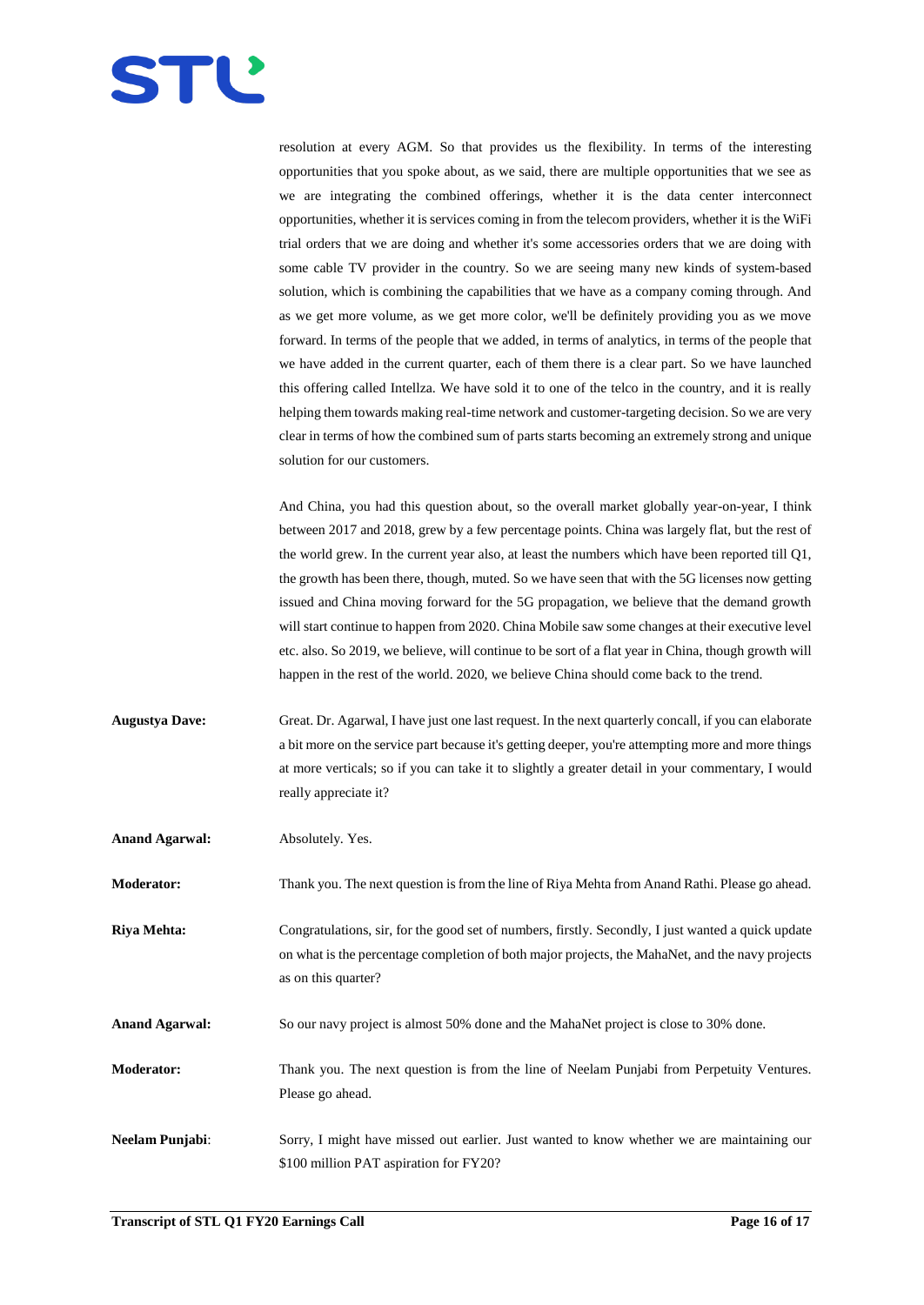

resolution at every AGM. So that provides us the flexibility. In terms of the interesting opportunities that you spoke about, as we said, there are multiple opportunities that we see as we are integrating the combined offerings, whether it is the data center interconnect opportunities, whether it is services coming in from the telecom providers, whether it is the WiFi trial orders that we are doing and whether it's some accessories orders that we are doing with some cable TV provider in the country. So we are seeing many new kinds of system-based solution, which is combining the capabilities that we have as a company coming through. And as we get more volume, as we get more color, we'll be definitely providing you as we move forward. In terms of the people that we added, in terms of analytics, in terms of the people that we have added in the current quarter, each of them there is a clear part. So we have launched this offering called Intellza. We have sold it to one of the telco in the country, and it is really helping them towards making real-time network and customer-targeting decision. So we are very clear in terms of how the combined sum of parts starts becoming an extremely strong and unique solution for our customers.

And China, you had this question about, so the overall market globally year-on-year, I think between 2017 and 2018, grew by a few percentage points. China was largely flat, but the rest of the world grew. In the current year also, at least the numbers which have been reported till Q1, the growth has been there, though, muted. So we have seen that with the 5G licenses now getting issued and China moving forward for the 5G propagation, we believe that the demand growth will start continue to happen from 2020. China Mobile saw some changes at their executive level etc. also. So 2019, we believe, will continue to be sort of a flat year in China, though growth will happen in the rest of the world. 2020, we believe China should come back to the trend.

**Augustya Dave:** Great. Dr. Agarwal, I have just one last request. In the next quarterly concall, if you can elaborate a bit more on the service part because it's getting deeper, you're attempting more and more things at more verticals; so if you can take it to slightly a greater detail in your commentary, I would really appreciate it?

**Anand Agarwal:** Absolutely. Yes.

**Moderator:** Thank you. The next question is from the line of Riya Mehta from Anand Rathi. Please go ahead.

**Riya Mehta:** Congratulations, sir, for the good set of numbers, firstly. Secondly, I just wanted a quick update on what is the percentage completion of both major projects, the MahaNet, and the navy projects as on this quarter?

**Anand Agarwal:** So our navy project is almost 50% done and the MahaNet project is close to 30% done.

**Moderator:** Thank you. The next question is from the line of Neelam Punjabi from Perpetuity Ventures. Please go ahead.

**Neelam Punjabi**: Sorry, I might have missed out earlier. Just wanted to know whether we are maintaining our \$100 million PAT aspiration for FY20?